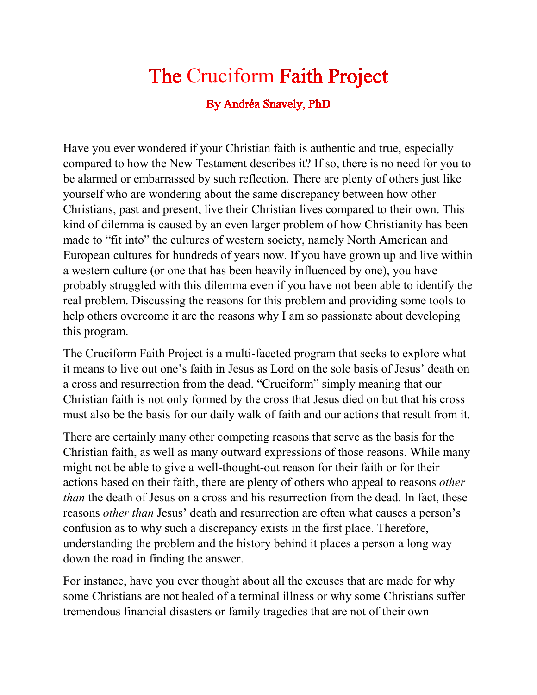## The Cruciform Faith Project

By Andréa Snavely, PhD

Have you ever wondered if your Christian faith is authentic and true, especially compared to how the New Testament describes it? If so, there is no need for you to be alarmed or embarrassed by such reflection. There are plenty of others just like yourself who are wondering about the same discrepancy between how other Christians, past and present, live their Christian lives compared to their own. This kind of dilemma is caused by an even larger problem of how Christianity has been made to "fit into" the cultures of western society, namely North American and European cultures for hundreds of years now. If you have grown up and live within a western culture (or one that has been heavily influenced by one), you have probably struggled with this dilemma even if you have not been able to identify the real problem. Discussing the reasons for this problem and providing some tools to help others overcome it are the reasons why I am so passionate about developing this program.

The Cruciform Faith Project is a multi-faceted program that seeks to explore what it means to live out one's faith in Jesus as Lord on the sole basis of Jesus' death on a cross and resurrection from the dead. "Cruciform" simply meaning that our Christian faith is not only formed by the cross that Jesus died on but that his cross must also be the basis for our daily walk of faith and our actions that result from it.

There are certainly many other competing reasons that serve as the basis for the Christian faith, as well as many outward expressions of those reasons. While many might not be able to give a well-thought-out reason for their faith or for their actions based on their faith, there are plenty of others who appeal to reasons *other than* the death of Jesus on a cross and his resurrection from the dead. In fact, these reasons *other than* Jesus' death and resurrection are often what causes a person's confusion as to why such a discrepancy exists in the first place. Therefore, understanding the problem and the history behind it places a person a long way down the road in finding the answer.

For instance, have you ever thought about all the excuses that are made for why some Christians are not healed of a terminal illness or why some Christians suffer tremendous financial disasters or family tragedies that are not of their own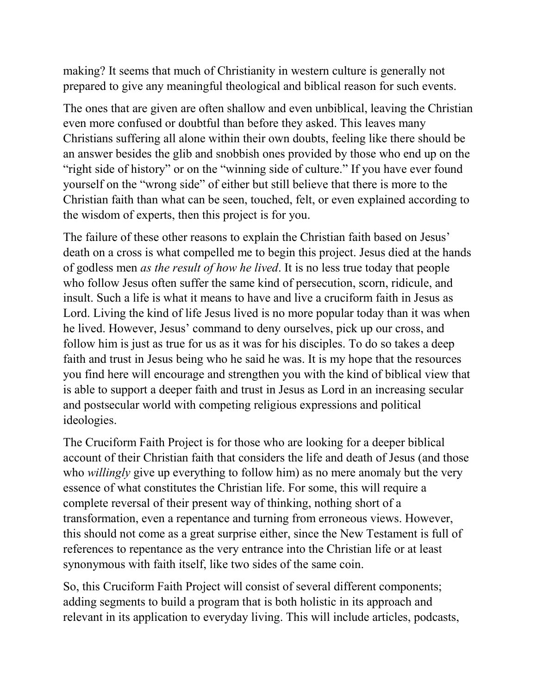making? It seems that much of Christianity in western culture is generally not prepared to give any meaningful theological and biblical reason for such events.

The ones that are given are often shallow and even unbiblical, leaving the Christian even more confused or doubtful than before they asked. This leaves many Christians suffering all alone within their own doubts, feeling like there should be an answer besides the glib and snobbish ones provided by those who end up on the "right side of history" or on the "winning side of culture." If you have ever found yourself on the "wrong side" of either but still believe that there is more to the Christian faith than what can be seen, touched, felt, or even explained according to the wisdom of experts, then this project is for you.

The failure of these other reasons to explain the Christian faith based on Jesus' death on a cross is what compelled me to begin this project. Jesus died at the hands of godless men *as the result of how he lived*. It is no less true today that people who follow Jesus often suffer the same kind of persecution, scorn, ridicule, and insult. Such a life is what it means to have and live a cruciform faith in Jesus as Lord. Living the kind of life Jesus lived is no more popular today than it was when he lived. However, Jesus' command to deny ourselves, pick up our cross, and follow him is just as true for us as it was for his disciples. To do so takes a deep faith and trust in Jesus being who he said he was. It is my hope that the resources you find here will encourage and strengthen you with the kind of biblical view that is able to support a deeper faith and trust in Jesus as Lord in an increasing secular and postsecular world with competing religious expressions and political ideologies.

The Cruciform Faith Project is for those who are looking for a deeper biblical account of their Christian faith that considers the life and death of Jesus (and those who *willingly* give up everything to follow him) as no mere anomaly but the very essence of what constitutes the Christian life. For some, this will require a complete reversal of their present way of thinking, nothing short of a transformation, even a repentance and turning from erroneous views. However, this should not come as a great surprise either, since the New Testament is full of references to repentance as the very entrance into the Christian life or at least synonymous with faith itself, like two sides of the same coin.

So, this Cruciform Faith Project will consist of several different components; adding segments to build a program that is both holistic in its approach and relevant in its application to everyday living. This will include articles, podcasts,